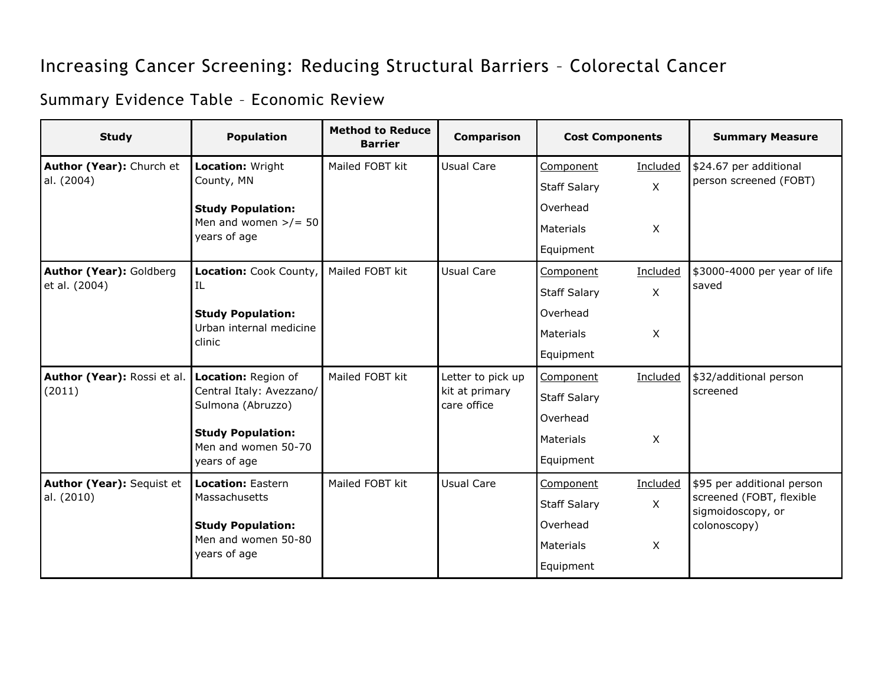## Increasing Cancer Screening: Reducing Structural Barriers – Colorectal Cancer

## Summary Evidence Table – Economic Review

| <b>Study</b>                                              | <b>Population</b>                                                          | <b>Method to Reduce</b><br><b>Barrier</b> | <b>Comparison</b>                                  | <b>Cost Components</b> |              | <b>Summary Measure</b>                                                                      |
|-----------------------------------------------------------|----------------------------------------------------------------------------|-------------------------------------------|----------------------------------------------------|------------------------|--------------|---------------------------------------------------------------------------------------------|
| Author (Year): Church et<br>al. (2004)                    | Location: Wright<br>County, MN                                             | Mailed FOBT kit                           | Usual Care                                         | Component              | Included     | \$24.67 per additional<br>person screened (FOBT)                                            |
|                                                           |                                                                            |                                           |                                                    | <b>Staff Salary</b>    | $\mathsf{X}$ |                                                                                             |
|                                                           | <b>Study Population:</b><br>Men and women $\frac{>}{=}$ 50<br>years of age |                                           |                                                    | Overhead               |              |                                                                                             |
|                                                           |                                                                            |                                           |                                                    | Materials              | $\mathsf{X}$ |                                                                                             |
|                                                           |                                                                            |                                           |                                                    | Equipment              |              |                                                                                             |
| Author (Year): Goldberg<br>et al. (2004)                  | Location: Cook County,<br>IL                                               | Mailed FOBT kit                           | <b>Usual Care</b>                                  | Component              | Included     | \$3000-4000 per year of life<br>saved                                                       |
|                                                           |                                                                            |                                           |                                                    | <b>Staff Salary</b>    | X            |                                                                                             |
|                                                           | <b>Study Population:</b><br>Urban internal medicine<br>clinic              |                                           |                                                    | Overhead               |              |                                                                                             |
|                                                           |                                                                            |                                           |                                                    | Materials              | $\mathsf{X}$ |                                                                                             |
|                                                           |                                                                            |                                           |                                                    | Equipment              |              |                                                                                             |
| Author (Year): Rossi et al. Location: Region of<br>(2011) | Central Italy: Avezzano/<br>Sulmona (Abruzzo)                              | Mailed FOBT kit                           | Letter to pick up<br>kit at primary<br>care office | Component              | Included     | \$32/additional person<br>screened                                                          |
|                                                           |                                                                            |                                           |                                                    | <b>Staff Salary</b>    |              |                                                                                             |
|                                                           | <b>Study Population:</b><br>Men and women 50-70<br>years of age            |                                           |                                                    | Overhead               |              |                                                                                             |
|                                                           |                                                                            |                                           |                                                    | Materials              | $\mathsf{X}$ |                                                                                             |
|                                                           |                                                                            |                                           |                                                    | Equipment              |              |                                                                                             |
| Author (Year): Sequist et<br>al. (2010)                   | <b>Location: Eastern</b><br>Massachusetts                                  | Mailed FOBT kit                           | Usual Care                                         | Component              | Included     | \$95 per additional person<br>screened (FOBT, flexible<br>sigmoidoscopy, or<br>colonoscopy) |
|                                                           |                                                                            |                                           |                                                    | <b>Staff Salary</b>    | $\mathsf{X}$ |                                                                                             |
|                                                           | <b>Study Population:</b><br>Men and women 50-80<br>years of age            |                                           |                                                    | Overhead               |              |                                                                                             |
|                                                           |                                                                            |                                           |                                                    | Materials              | $\mathsf{X}$ |                                                                                             |
|                                                           |                                                                            |                                           |                                                    | Equipment              |              |                                                                                             |